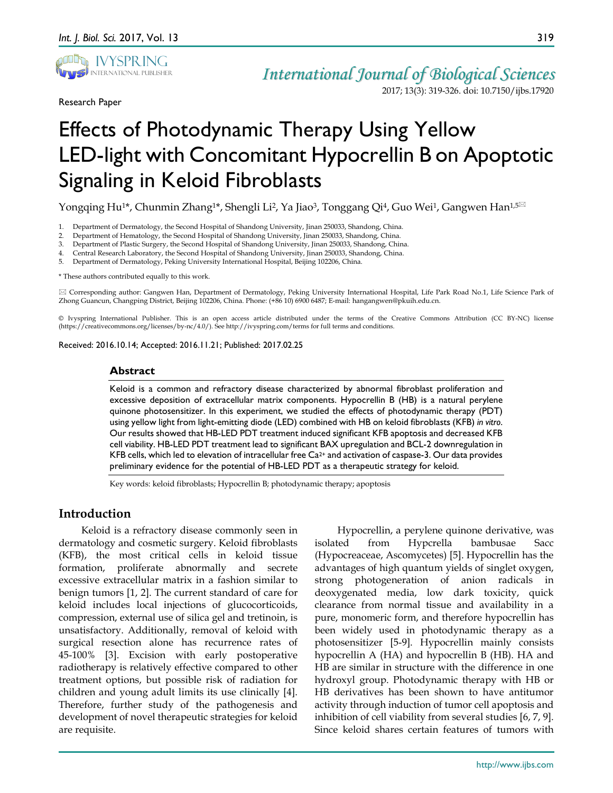

Research Paper

# *International Journal of Biological Sciences*

2017; 13(3): 319-326. doi: 10.7150/ijbs.17920

# Effects of Photodynamic Therapy Using Yellow LED-light with Concomitant Hypocrellin B on Apoptotic Signaling in Keloid Fibroblasts

Yongqing Hu<sup>1\*</sup>, Chunmin Zhang<sup>1\*</sup>, Shengli Li<sup>2</sup>, Ya Jiao<sup>3</sup>, Tonggang Qi<sup>4</sup>, Guo Wei<sup>1</sup>, Gangwen Han<sup>1,5⊠</sup>

- 1. Department of Dermatology, the Second Hospital of Shandong University, Jinan 250033, Shandong, China.
- 2. Department of Hematology, the Second Hospital of Shandong University, Jinan 250033, Shandong, China.
- 3. Department of Plastic Surgery, the Second Hospital of Shandong University, Jinan 250033, Shandong, China.
- 4. Central Research Laboratory, the Second Hospital of Shandong University, Jinan 250033, Shandong, China.
- 5. Department of Dermatology, Peking University International Hospital, Beijing 102206, China.

\* These authors contributed equally to this work.

 Corresponding author: Gangwen Han, Department of Dermatology, Peking University International Hospital, Life Park Road No.1, Life Science Park of Zhong Guancun, Changping District, Beijing 102206, China. Phone: (+86 10) 6900 6487; E-mail: hangangwen@pkuih.edu.cn.

© Ivyspring International Publisher. This is an open access article distributed under the terms of the Creative Commons Attribution (CC BY-NC) license (https://creativecommons.org/licenses/by-nc/4.0/). See http://ivyspring.com/terms for full terms and conditions.

Received: 2016.10.14; Accepted: 2016.11.21; Published: 2017.02.25

#### **Abstract**

Keloid is a common and refractory disease characterized by abnormal fibroblast proliferation and excessive deposition of extracellular matrix components. Hypocrellin B (HB) is a natural perylene quinone photosensitizer. In this experiment, we studied the effects of photodynamic therapy (PDT) using yellow light from light-emitting diode (LED) combined with HB on keloid fibroblasts (KFB) *in vitro*. Our results showed that HB-LED PDT treatment induced significant KFB apoptosis and decreased KFB cell viability. HB-LED PDT treatment lead to significant BAX upregulation and BCL-2 downregulation in KFB cells, which led to elevation of intracellular free  $Ca<sup>2+</sup>$  and activation of caspase-3. Our data provides preliminary evidence for the potential of HB-LED PDT as a therapeutic strategy for keloid.

Key words: keloid fibroblasts; Hypocrellin B; photodynamic therapy; apoptosis

# **Introduction**

Keloid is a refractory disease commonly seen in dermatology and cosmetic surgery. Keloid fibroblasts (KFB), the most critical cells in keloid tissue formation, proliferate abnormally and secrete excessive extracellular matrix in a fashion similar to benign tumors [1, 2]. The current standard of care for keloid includes local injections of glucocorticoids, compression, external use of silica gel and tretinoin, is unsatisfactory. Additionally, removal of keloid with surgical resection alone has recurrence rates of 45-100% [3]. Excision with early postoperative radiotherapy is relatively effective compared to other treatment options, but possible risk of radiation for children and young adult limits its use clinically [4]. Therefore, further study of the pathogenesis and development of novel therapeutic strategies for keloid are requisite.

Hypocrellin, a perylene quinone derivative, was isolated from Hypcrella bambusae Sacc (Hypocreaceae, Ascomycetes) [5]. Hypocrellin has the advantages of high quantum yields of singlet oxygen, strong photogeneration of anion radicals in deoxygenated media, low dark toxicity, quick clearance from normal tissue and availability in a pure, monomeric form, and therefore hypocrellin has been widely used in photodynamic therapy as a photosensitizer [5-9]. Hypocrellin mainly consists hypocrellin A (HA) and hypocrellin B (HB). HA and HB are similar in structure with the difference in one hydroxyl group. Photodynamic therapy with HB or HB derivatives has been shown to have antitumor activity through induction of tumor cell apoptosis and inhibition of cell viability from several studies [6, 7, 9]. Since keloid shares certain features of tumors with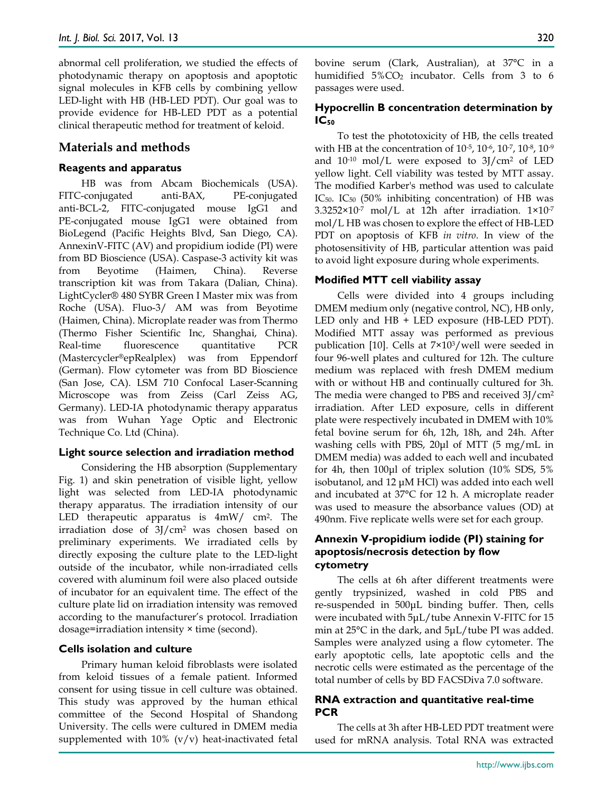abnormal cell proliferation, we studied the effects of photodynamic therapy on apoptosis and apoptotic signal molecules in KFB cells by combining yellow LED-light with HB (HB-LED PDT). Our goal was to provide evidence for HB-LED PDT as a potential clinical therapeutic method for treatment of keloid.

# **Materials and methods**

### **Reagents and apparatus**

HB was from Abcam Biochemicals (USA). FITC-conjugated anti-BAX, PE-conjugated anti-BCL-2, FITC-conjugated mouse IgG1 and PE-conjugated mouse IgG1 were obtained from BioLegend (Pacific Heights Blvd, San Diego, CA). AnnexinV-FITC (AV) and propidium iodide (PI) were from BD Bioscience (USA). Caspase-3 activity kit was from Beyotime (Haimen, China). Reverse transcription kit was from Takara (Dalian, China). LightCycler® 480 SYBR Green I Master mix was from Roche (USA). Fluo-3/ AM was from Beyotime (Haimen, China). Microplate reader was from Thermo (Thermo Fisher Scientific Inc, Shanghai, China). Real-time fluorescence quantitative PCR (Mastercycler®epRealplex) was from Eppendorf (German). Flow cytometer was from BD Bioscience (San Jose, CA). LSM 710 Confocal Laser-Scanning Microscope was from Zeiss (Carl Zeiss AG, Germany). LED-IA photodynamic therapy apparatus was from Wuhan Yage Optic and Electronic Technique Co. Ltd (China).

### **Light source selection and irradiation method**

Considering the HB absorption (Supplementary Fig. 1) and skin penetration of visible light, yellow light was selected from LED-IA photodynamic therapy apparatus. The irradiation intensity of our LED therapeutic apparatus is  $4mW/cm^2$ . The irradiation dose of 3J/cm2 was chosen based on preliminary experiments. We irradiated cells by directly exposing the culture plate to the LED-light outside of the incubator, while non-irradiated cells covered with aluminum foil were also placed outside of incubator for an equivalent time. The effect of the culture plate lid on irradiation intensity was removed according to the manufacturer's protocol. Irradiation dosage=irradiation intensity × time (second).

#### **Cells isolation and culture**

Primary human keloid fibroblasts were isolated from keloid tissues of a female patient. Informed consent for using tissue in cell culture was obtained. This study was approved by the human ethical committee of the Second Hospital of Shandong University. The cells were cultured in DMEM media supplemented with  $10\%$  (v/v) heat-inactivated fetal bovine serum (Clark, Australian), at 37°C in a humidified  $5\%CO<sub>2</sub>$  incubator. Cells from 3 to 6 passages were used.

## **Hypocrellin B concentration determination by IC50**

To test the phototoxicity of HB, the cells treated with HB at the concentration of 10-5, 10-6, 10-7, 10-8, 10-9 and  $10^{-10}$  mol/L were exposed to  $3$ J/cm<sup>2</sup> of LED yellow light. Cell viability was tested by MTT assay. The modified Karber's method was used to calculate IC50. IC50 (50% inhibiting concentration) of HB was  $3.3252\times10^{-7}$  mol/L at 12h after irradiation.  $1\times10^{-7}$ mol/L HB was chosen to explore the effect of HB-LED PDT on apoptosis of KFB *in vitro*. In view of the photosensitivity of HB, particular attention was paid to avoid light exposure during whole experiments.

#### **Modified MTT cell viability assay**

Cells were divided into 4 groups including DMEM medium only (negative control, NC), HB only, LED only and HB + LED exposure (HB-LED PDT). Modified MTT assay was performed as previous publication [10]. Cells at 7×103/well were seeded in four 96-well plates and cultured for 12h. The culture medium was replaced with fresh DMEM medium with or without HB and continually cultured for 3h. The media were changed to PBS and received 3J/cm2 irradiation. After LED exposure, cells in different plate were respectively incubated in DMEM with 10% fetal bovine serum for 6h, 12h, 18h, and 24h. After washing cells with PBS, 20μl of MTT (5 mg/mL in DMEM media) was added to each well and incubated for 4h, then 100μl of triplex solution (10% SDS, 5% isobutanol, and 12 μM HCl) was added into each well and incubated at 37°C for 12 h. A microplate reader was used to measure the absorbance values (OD) at 490nm. Five replicate wells were set for each group.

# **Annexin V-propidium iodide (PI) staining for apoptosis/necrosis detection by flow cytometry**

The cells at 6h after different treatments were gently trypsinized, washed in cold PBS and re-suspended in 500μL binding buffer. Then, cells were incubated with 5μL/tube Annexin V-FITC for 15 min at 25°C in the dark, and 5μL/tube PI was added. Samples were analyzed using a flow cytometer. The early apoptotic cells, late apoptotic cells and the necrotic cells were estimated as the percentage of the total number of cells by BD FACSDiva 7.0 software.

### **RNA extraction and quantitative real-time PCR**

The cells at 3h after HB-LED PDT treatment were used for mRNA analysis. Total RNA was extracted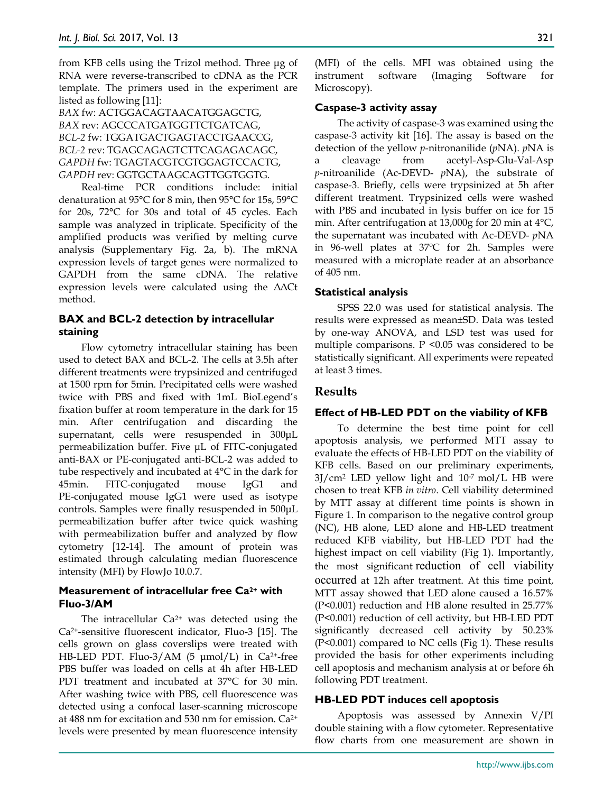from KFB cells using the Trizol method. Three μg of RNA were reverse-transcribed to cDNA as the PCR template. The primers used in the experiment are listed as following [11]:

*BAX* fw: ACTGGACAGTAACATGGAGCTG, *BAX* rev: AGCCCATGATGGTTCTGATCAG, *BCL-2* fw: TGGATGACTGAGTACCTGAACCG, *BCL-2* rev: TGAGCAGAGTCTTCAGAGACAGC, *GAPDH* fw: TGAGTACGTCGTGGAGTCCACTG, *GAPDH* rev: GGTGCTAAGCAGTTGGTGGTG.

Real-time PCR conditions include: initial denaturation at 95°C for 8 min, then 95°C for 15s, 59°C for 20s, 72°C for 30s and total of 45 cycles. Each sample was analyzed in triplicate. Specificity of the amplified products was verified by melting curve analysis (Supplementary Fig. 2a, b). The mRNA expression levels of target genes were normalized to GAPDH from the same cDNA. The relative expression levels were calculated using the ΔΔCt method.

# **BAX and BCL-2 detection by intracellular staining**

Flow cytometry intracellular staining has been used to detect BAX and BCL-2. The cells at 3.5h after different treatments were trypsinized and centrifuged at 1500 rpm for 5min. Precipitated cells were washed twice with PBS and fixed with 1mL BioLegend's fixation buffer at room temperature in the dark for 15 min. After centrifugation and discarding the supernatant, cells were resuspended in 300μL permeabilization buffer. Five μL of FITC-conjugated anti-BAX or PE-conjugated anti-BCL-2 was added to tube respectively and incubated at 4°C in the dark for 45min. FITC-conjugated mouse IgG1 and PE-conjugated mouse IgG1 were used as isotype controls. Samples were finally resuspended in 500μL permeabilization buffer after twice quick washing with permeabilization buffer and analyzed by flow cytometry [12-14]. The amount of protein was estimated through calculating median fluorescence intensity (MFI) by FlowJo 10.0.7.

# **Measurement of intracellular free Ca2+ with Fluo-3/AM**

The intracellular  $Ca^{2+}$  was detected using the Ca2+-sensitive fluorescent indicator, Fluo-3 [15]. The cells grown on glass coverslips were treated with HB-LED PDT. Fluo-3/AM (5  $\mu$ mol/L) in Ca<sup>2+</sup>-free PBS buffer was loaded on cells at 4h after HB-LED PDT treatment and incubated at 37°C for 30 min. After washing twice with PBS, cell fluorescence was detected using a confocal laser-scanning microscope at 488 nm for excitation and 530 nm for emission. Ca2+ levels were presented by mean fluorescence intensity

(MFI) of the cells. MFI was obtained using the instrument software (Imaging Software for Microscopy).

# **Caspase-3 activity assay**

The activity of caspase-3 was examined using the caspase-3 activity kit [16]. The assay is based on the detection of the yellow *p*-nitronanilide (*p*NA). *p*NA is a cleavage from acetyl-Asp-Glu-Val-Asp *p*-nitroanilide (Ac-DEVD- *p*NA), the substrate of caspase-3. Briefly, cells were trypsinized at 5h after different treatment. Trypsinized cells were washed with PBS and incubated in lysis buffer on ice for 15 min. After centrifugation at 13,000g for 20 min at 4°C, the supernatant was incubated with Ac-DEVD- *p*NA in 96-well plates at 37ºC for 2h. Samples were measured with a microplate reader at an absorbance of 405 nm.

# **Statistical analysis**

SPSS 22.0 was used for statistical analysis. The results were expressed as mean±SD. Data was tested by one-way ANOVA, and LSD test was used for multiple comparisons.  $P \leq 0.05$  was considered to be statistically significant. All experiments were repeated at least 3 times.

# **Results**

# **Effect of HB-LED PDT on the viability of KFB**

To determine the best time point for cell apoptosis analysis, we performed MTT assay to evaluate the effects of HB-LED PDT on the viability of KFB cells. Based on our preliminary experiments,  $3$ J/cm<sup>2</sup> LED yellow light and  $10^{-7}$  mol/L HB were chosen to treat KFB *in vitro*. Cell viability determined by MTT assay at different time points is shown in Figure 1. In comparison to the negative control group (NC), HB alone, LED alone and HB-LED treatment reduced KFB viability, but HB-LED PDT had the highest impact on cell viability (Fig 1). Importantly, the most significant reduction of cell viability occurred at 12h after treatment. At this time point, MTT assay showed that LED alone caused a 16.57% (P<0.001) reduction and HB alone resulted in 25.77% (P<0.001) reduction of cell activity, but HB-LED PDT significantly decreased cell activity by 50.23% (P<0.001) compared to NC cells (Fig 1). These results provided the basis for other experiments including cell apoptosis and mechanism analysis at or before 6h following PDT treatment.

# **HB-LED PDT induces cell apoptosis**

Apoptosis was assessed by Annexin V/PI double staining with a flow cytometer. Representative flow charts from one measurement are shown in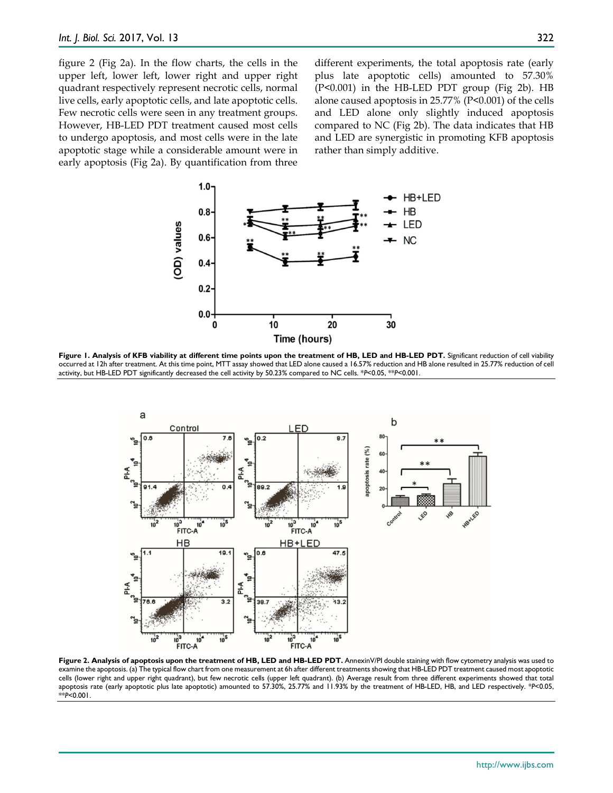figure 2 (Fig 2a). In the flow charts, the cells in the upper left, lower left, lower right and upper right quadrant respectively represent necrotic cells, normal live cells, early apoptotic cells, and late apoptotic cells. Few necrotic cells were seen in any treatment groups. However, HB-LED PDT treatment caused most cells to undergo apoptosis, and most cells were in the late apoptotic stage while a considerable amount were in early apoptosis (Fig 2a). By quantification from three different experiments, the total apoptosis rate (early plus late apoptotic cells) amounted to 57.30% (P<0.001) in the HB-LED PDT group (Fig 2b). HB alone caused apoptosis in 25.77% (P<0.001) of the cells and LED alone only slightly induced apoptosis compared to NC (Fig 2b). The data indicates that HB and LED are synergistic in promoting KFB apoptosis rather than simply additive.



**Figure 1. Analysis of KFB viability at different time points upon the treatment of HB, LED and HB-LED PDT.** Significant reduction of cell viability occurred at 12h after treatment. At this time point, MTT assay showed that LED alone caused a 16.57% reduction and HB alone resulted in 25.77% reduction of cell activity, but HB-LED PDT significantly decreased the cell activity by 50.23% compared to NC cells. \**P*<0.05, \*\**P*<0.001.



**Figure 2. Analysis of apoptosis upon the treatment of HB, LED and HB-LED PDT.** AnnexinV/PI double staining with flow cytometry analysis was used to examine the apoptosis. (a) The typical flow chart from one measurement at 6h after different treatments showing that HB-LED PDT treatment caused most apoptotic cells (lower right and upper right quadrant), but few necrotic cells (upper left quadrant). (b) Average result from three different experiments showed that total apoptosis rate (early apoptotic plus late apoptotic) amounted to 57.30%, 25.77% and 11.93% by the treatment of HB-LED, HB, and LED respectively. \**P*<0.05, \*\**P*<0.001.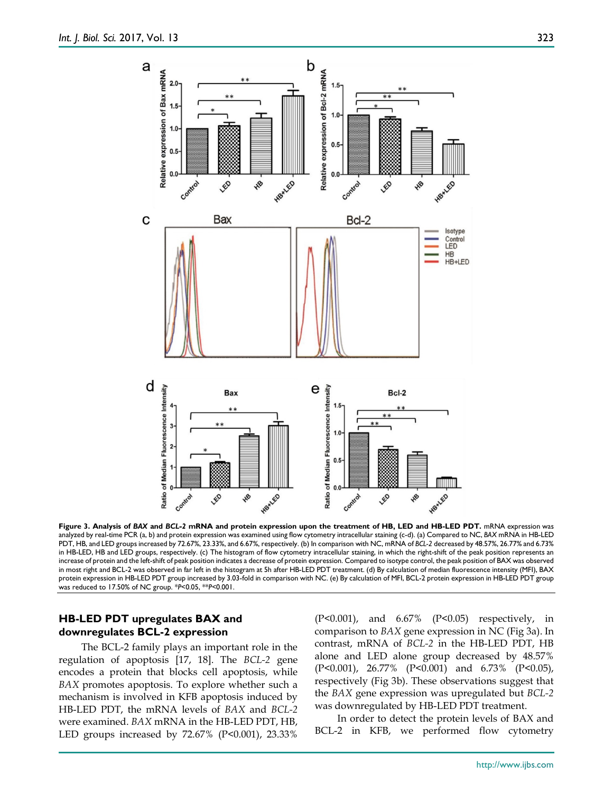

**Figure 3. Analysis of** *BAX* **and** *BCL-2* **mRNA and protein expression upon the treatment of HB, LED and HB-LED PDT.** mRNA expression was analyzed by real-time PCR (a, b) and protein expression was examined using flow cytometry intracellular staining (c-d). (a) Compared to NC, *BAX* mRNA in HB-LED PDT, HB, and LED groups increased by 72.67%, 23.33%, and 6.67%, respectively. (b) In comparison with NC, mRNA of *BCL-2* decreased by 48.57%, 26.77% and 6.73% in HB-LED, HB and LED groups, respectively. (c) The histogram of flow cytometry intracellular staining, in which the right-shift of the peak position represents an increase of protein and the left-shift of peak position indicates a decrease of protein expression. Compared to isotype control, the peak position of BAX was observed in most right and BCL-2 was observed in far left in the histogram at 5h after HB-LED PDT treatment. (d) By calculation of median fluorescence intensity (MFI), BAX protein expression in HB-LED PDT group increased by 3.03-fold in comparison with NC. (e) By calculation of MFI, BCL-2 protein expression in HB-LED PDT group was reduced to 17.50% of NC group. \**P*<0.05, \*\**P*<0.001.

## **HB-LED PDT upregulates BAX and downregulates BCL-2 expression**

The BCL-2 family plays an important role in the regulation of apoptosis [17, 18]. The *BCL-2* gene encodes a protein that blocks cell apoptosis, while *BAX* promotes apoptosis. To explore whether such a mechanism is involved in KFB apoptosis induced by HB-LED PDT, the mRNA levels of *BAX* and *BCL-2* were examined. *BAX* mRNA in the HB-LED PDT, HB, LED groups increased by 72.67% (P<0.001), 23.33%

(P<0.001), and 6.67% (P<0.05) respectively, in comparison to *BAX* gene expression in NC (Fig 3a). In contrast, mRNA of *BCL-2* in the HB-LED PDT, HB alone and LED alone group decreased by 48.57% (P<0.001), 26.77% (P<0.001) and 6.73% (P<0.05), respectively (Fig 3b). These observations suggest that the *BAX* gene expression was upregulated but *BCL-2* was downregulated by HB-LED PDT treatment.

In order to detect the protein levels of BAX and BCL-2 in KFB, we performed flow cytometry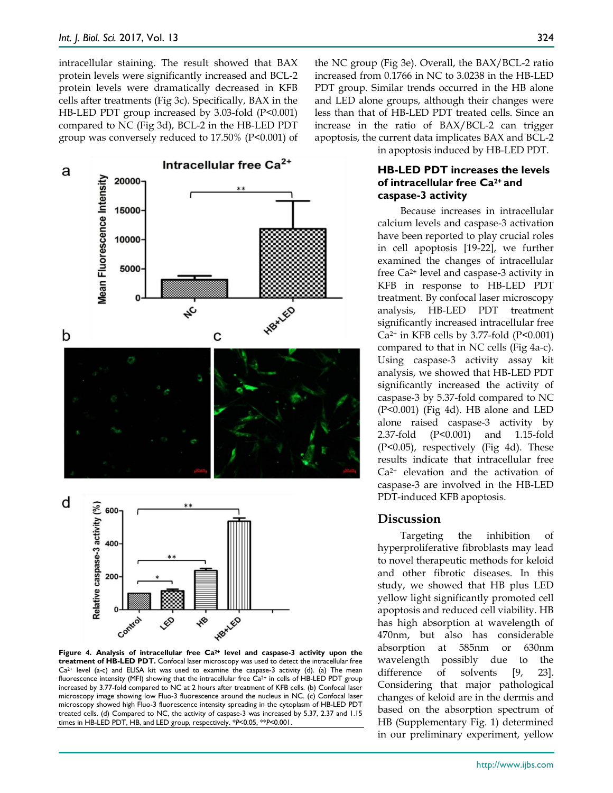intracellular staining. The result showed that BAX protein levels were significantly increased and BCL-2 protein levels were dramatically decreased in KFB cells after treatments (Fig 3c). Specifically, BAX in the HB-LED PDT group increased by 3.03-fold (P<0.001) compared to NC (Fig 3d), BCL-2 in the HB-LED PDT group was conversely reduced to 17.50% (P<0.001) of



**Figure 4. Analysis of intracellular free Ca2+ level and caspase-3 activity upon the treatment of HB-LED PDT.** Confocal laser microscopy was used to detect the intracellular free  $Ca^{2+}$  level (a-c) and ELISA kit was used to examine the caspase-3 activity (d). (a) The mean fluorescence intensity (MFI) showing that the intracellular free Ca<sup>2+</sup> in cells of HB-LED PDT group increased by 3.77-fold compared to NC at 2 hours after treatment of KFB cells. (b) Confocal laser microscopy image showing low Fluo-3 fluorescence around the nucleus in NC. (c) Confocal laser microscopy showed high Fluo-3 fluorescence intensity spreading in the cytoplasm of HB-LED PDT treated cells. (d) Compared to NC, the activity of caspase-3 was increased by 5.37, 2.37 and 1.15 times in HB-LED PDT, HB, and LED group, respectively. \**P*<0.05, \*\**P*<0.001.

the NC group (Fig 3e). Overall, the BAX/BCL-2 ratio increased from 0.1766 in NC to 3.0238 in the HB-LED PDT group. Similar trends occurred in the HB alone and LED alone groups, although their changes were less than that of HB-LED PDT treated cells. Since an increase in the ratio of BAX/BCL-2 can trigger apoptosis, the current data implicates BAX and BCL-2

in apoptosis induced by HB-LED PDT.

# **HB-LED PDT increases the levels of intracellular free Ca2+ and caspase-3 activity**

Because increases in intracellular calcium levels and caspase-3 activation have been reported to play crucial roles in cell apoptosis [19-22], we further examined the changes of intracellular free Ca2+ level and caspase-3 activity in KFB in response to HB-LED PDT treatment. By confocal laser microscopy analysis, HB-LED PDT treatment significantly increased intracellular free  $Ca<sup>2+</sup>$  in KFB cells by 3.77-fold (P<0.001) compared to that in NC cells (Fig 4a-c). Using caspase-3 activity assay kit analysis, we showed that HB-LED PDT significantly increased the activity of caspase-3 by 5.37-fold compared to NC (P<0.001) (Fig 4d). HB alone and LED alone raised caspase-3 activity by 2.37-fold (P<0.001) and 1.15-fold (P<0.05), respectively (Fig 4d). These results indicate that intracellular free Ca2+ elevation and the activation of caspase-3 are involved in the HB-LED PDT-induced KFB apoptosis.

# **Discussion**

Targeting the inhibition of hyperproliferative fibroblasts may lead to novel therapeutic methods for keloid and other fibrotic diseases. In this study, we showed that HB plus LED yellow light significantly promoted cell apoptosis and reduced cell viability. HB has high absorption at wavelength of 470nm, but also has considerable absorption at 585nm or 630nm wavelength possibly due to the difference of solvents [9, 23]. Considering that major pathological changes of keloid are in the dermis and based on the absorption spectrum of HB (Supplementary Fig. 1) determined in our preliminary experiment, yellow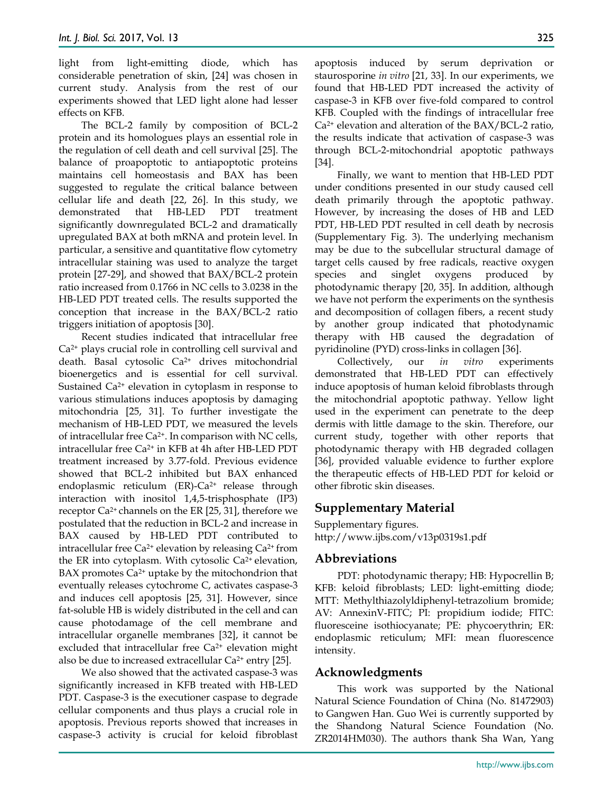light from light-emitting diode, which has considerable penetration of skin, [24] was chosen in current study. Analysis from the rest of our experiments showed that LED light alone had lesser effects on KFB.

The BCL-2 family by composition of BCL-2 protein and its homologues plays an essential role in the regulation of cell death and cell survival [25]. The balance of proapoptotic to antiapoptotic proteins maintains cell homeostasis and BAX has been suggested to regulate the critical balance between cellular life and death [22, 26]. In this study, we demonstrated that HB-LED PDT treatment significantly downregulated BCL-2 and dramatically upregulated BAX at both mRNA and protein level. In particular, a sensitive and quantitative flow cytometry intracellular staining was used to analyze the target protein [27-29], and showed that BAX/BCL-2 protein ratio increased from 0.1766 in NC cells to 3.0238 in the HB-LED PDT treated cells. The results supported the conception that increase in the BAX/BCL-2 ratio triggers initiation of apoptosis [30].

Recent studies indicated that intracellular free Ca2+ plays crucial role in controlling cell survival and death. Basal cytosolic Ca2+ drives mitochondrial bioenergetics and is essential for cell survival. Sustained Ca2+ elevation in cytoplasm in response to various stimulations induces apoptosis by damaging mitochondria [25, 31]. To further investigate the mechanism of HB-LED PDT, we measured the levels of intracellular free Ca<sup>2+</sup>. In comparison with NC cells, intracellular free Ca2+ in KFB at 4h after HB-LED PDT treatment increased by 3.77-fold. Previous evidence showed that BCL-2 inhibited but BAX enhanced endoplasmic reticulum (ER)-Ca<sup>2+</sup> release through interaction with inositol 1,4,5-trisphosphate (IP3) receptor Ca2+ channels on the ER [25, 31], therefore we postulated that the reduction in BCL-2 and increase in BAX caused by HB-LED PDT contributed to intracellular free  $Ca^{2+}$  elevation by releasing  $Ca^{2+}$  from the ER into cytoplasm. With cytosolic  $Ca<sup>2+</sup>$  elevation,  $BAX$  promotes  $Ca<sup>2+</sup>$  uptake by the mitochondrion that eventually releases cytochrome C, activates caspase-3 and induces cell apoptosis [25, 31]. However, since fat-soluble HB is widely distributed in the cell and can cause photodamage of the cell membrane and intracellular organelle membranes [32], it cannot be excluded that intracellular free  $Ca<sup>2+</sup>$  elevation might also be due to increased extracellular  $Ca^{2+}$  entry [25].

We also showed that the activated caspase-3 was significantly increased in KFB treated with HB-LED PDT. Caspase-3 is the executioner caspase to degrade cellular components and thus plays a crucial role in apoptosis. Previous reports showed that increases in caspase-3 activity is crucial for keloid fibroblast apoptosis induced by serum deprivation or staurosporine *in vitro* [21, 33]. In our experiments, we found that HB-LED PDT increased the activity of caspase-3 in KFB over five-fold compared to control KFB. Coupled with the findings of intracellular free  $Ca<sup>2+</sup>$  elevation and alteration of the BAX/BCL-2 ratio, the results indicate that activation of caspase-3 was through BCL-2-mitochondrial apoptotic pathways [34].

Finally, we want to mention that HB-LED PDT under conditions presented in our study caused cell death primarily through the apoptotic pathway. However, by increasing the doses of HB and LED PDT, HB-LED PDT resulted in cell death by necrosis (Supplementary Fig. 3). The underlying mechanism may be due to the subcellular structural damage of target cells caused by free radicals, reactive oxygen species and singlet oxygens produced by photodynamic therapy [20, 35]. In addition, although we have not perform the experiments on the synthesis and decomposition of collagen fibers, a recent study by another group indicated that photodynamic therapy with HB caused the degradation of pyridinoline (PYD) cross-links in collagen [36].

Collectively, our *in vitro* experiments demonstrated that HB-LED PDT can effectively induce apoptosis of human keloid fibroblasts through the mitochondrial apoptotic pathway. Yellow light used in the experiment can penetrate to the deep dermis with little damage to the skin. Therefore, our current study, together with other reports that photodynamic therapy with HB degraded collagen [36], provided valuable evidence to further explore the therapeutic effects of HB-LED PDT for keloid or other fibrotic skin diseases.

# **Supplementary Material**

Supplementary figures. http://www.ijbs.com/v13p0319s1.pdf

# **Abbreviations**

PDT: photodynamic therapy; HB: Hypocrellin B; KFB: keloid fibroblasts; LED: light-emitting diode; MTT: Methylthiazolyldiphenyl-tetrazolium bromide; AV: AnnexinV-FITC; PI: propidium iodide; FITC: fluoresceine isothiocyanate; PE: phycoerythrin; ER: endoplasmic reticulum; MFI: mean fluorescence intensity.

### **Acknowledgments**

This work was supported by the National Natural Science Foundation of China (No. 81472903) to Gangwen Han. Guo Wei is currently supported by the Shandong Natural Science Foundation (No. ZR2014HM030). The authors thank Sha Wan, Yang